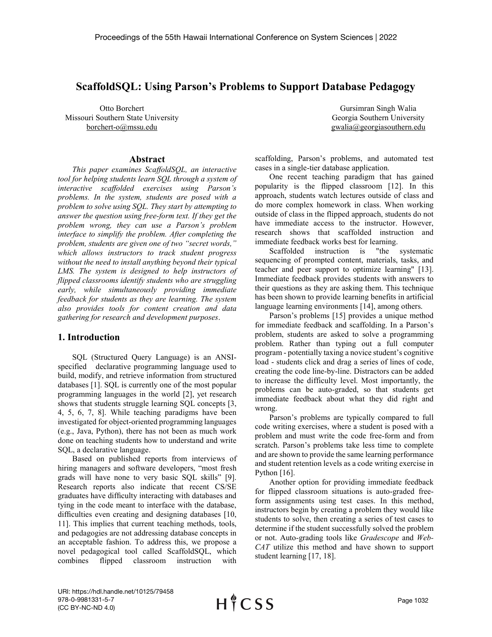## ScaffoldSQL: Using Parson's Problems to Support Database Pedagogy

Otto Borchert Missouri Southern State University borchert-o@mssu.edu

#### Abstract

This paper examines ScaffoldSQL, an interactive tool for helping students learn SQL through a system of interactive scaffolded exercises using Parson's problems. In the system, students are posed with a problem to solve using SQL. They start by attempting to answer the question using free-form text. If they get the problem wrong, they can use a Parson's problem interface to simplify the problem. After completing the problem, students are given one of two "secret words," which allows instructors to track student progress without the need to install anything beyond their typical LMS. The system is designed to help instructors of flipped classrooms identify students who are struggling early, while simultaneously providing immediate feedback for students as they are learning. The system also provides tools for content creation and data gathering for research and development purposes.

#### 1. Introduction

SQL (Structured Query Language) is an ANSIspecified declarative programming language used to build, modify, and retrieve information from structured databases [1]. SQL is currently one of the most popular programming languages in the world [2], yet research shows that students struggle learning SQL concepts [3, 4, 5, 6, 7, 8]. While teaching paradigms have been investigated for object-oriented programming languages (e.g., Java, Python), there has not been as much work done on teaching students how to understand and write SQL, a declarative language.

Based on published reports from interviews of hiring managers and software developers, "most fresh grads will have none to very basic SQL skills" [9]. Research reports also indicate that recent CS/SE graduates have difficulty interacting with databases and tying in the code meant to interface with the database, difficulties even creating and designing databases [10, 11]. This implies that current teaching methods, tools, and pedagogies are not addressing database concepts in an acceptable fashion. To address this, we propose a novel pedagogical tool called ScaffoldSQL, which combines flipped classroom instruction with

 Gursimran Singh Walia Georgia Southern University gwalia@georgiasouthern.edu

scaffolding, Parson's problems, and automated test cases in a single-tier database application.

One recent teaching paradigm that has gained popularity is the flipped classroom [12]. In this approach, students watch lectures outside of class and do more complex homework in class. When working outside of class in the flipped approach, students do not have immediate access to the instructor. However, research shows that scaffolded instruction and immediate feedback works best for learning.

Scaffolded instruction is "the systematic sequencing of prompted content, materials, tasks, and teacher and peer support to optimize learning" [13]. Immediate feedback provides students with answers to their questions as they are asking them. This technique has been shown to provide learning benefits in artificial language learning environments [14], among others.

Parson's problems [15] provides a unique method for immediate feedback and scaffolding. In a Parson's problem, students are asked to solve a programming problem. Rather than typing out a full computer program - potentially taxing a novice student's cognitive load - students click and drag a series of lines of code, creating the code line-by-line. Distractors can be added to increase the difficulty level. Most importantly, the problems can be auto-graded, so that students get immediate feedback about what they did right and wrong.

Parson's problems are typically compared to full code writing exercises, where a student is posed with a problem and must write the code free-form and from scratch. Parson's problems take less time to complete and are shown to provide the same learning performance and student retention levels as a code writing exercise in Python [16].

Another option for providing immediate feedback for flipped classroom situations is auto-graded freeform assignments using test cases. In this method, instructors begin by creating a problem they would like students to solve, then creating a series of test cases to determine if the student successfully solved the problem or not. Auto-grading tools like Gradescope and Web-CAT utilize this method and have shown to support student learning [17, 18].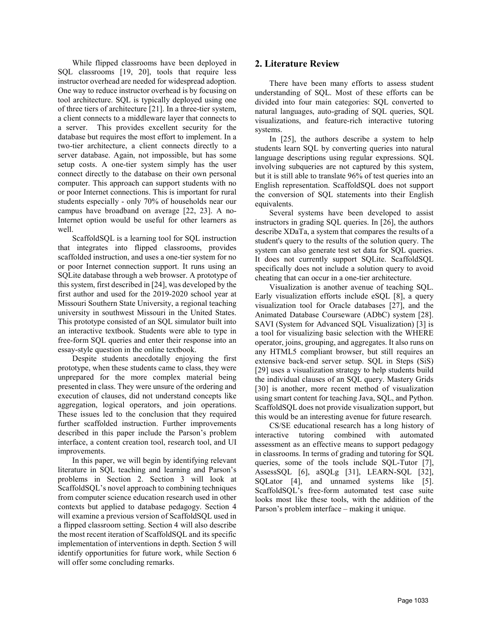While flipped classrooms have been deployed in SQL classrooms [19, 20], tools that require less instructor overhead are needed for widespread adoption. One way to reduce instructor overhead is by focusing on tool architecture. SQL is typically deployed using one of three tiers of architecture [21]. In a three-tier system, a client connects to a middleware layer that connects to a server. This provides excellent security for the database but requires the most effort to implement. In a two-tier architecture, a client connects directly to a server database. Again, not impossible, but has some setup costs. A one-tier system simply has the user connect directly to the database on their own personal computer. This approach can support students with no or poor Internet connections. This is important for rural students especially - only 70% of households near our campus have broadband on average [22, 23]. A no-Internet option would be useful for other learners as well.

ScaffoldSQL is a learning tool for SQL instruction that integrates into flipped classrooms, provides scaffolded instruction, and uses a one-tier system for no or poor Internet connection support. It runs using an SQLite database through a web browser. A prototype of this system, first described in [24], was developed by the first author and used for the 2019-2020 school year at Missouri Southern State University, a regional teaching university in southwest Missouri in the United States. This prototype consisted of an SQL simulator built into an interactive textbook. Students were able to type in free-form SQL queries and enter their response into an essay-style question in the online textbook.

Despite students anecdotally enjoying the first prototype, when these students came to class, they were unprepared for the more complex material being presented in class. They were unsure of the ordering and execution of clauses, did not understand concepts like aggregation, logical operators, and join operations. These issues led to the conclusion that they required further scaffolded instruction. Further improvements described in this paper include the Parson's problem interface, a content creation tool, research tool, and UI improvements.

In this paper, we will begin by identifying relevant literature in SQL teaching and learning and Parson's problems in Section 2. Section 3 will look at ScaffoldSQL's novel approach to combining techniques from computer science education research used in other contexts but applied to database pedagogy. Section 4 will examine a previous version of ScaffoldSQL used in a flipped classroom setting. Section 4 will also describe the most recent iteration of ScaffoldSQL and its specific implementation of interventions in depth. Section 5 will identify opportunities for future work, while Section 6 will offer some concluding remarks.

## 2. Literature Review

There have been many efforts to assess student understanding of SQL. Most of these efforts can be divided into four main categories: SQL converted to natural languages, auto-grading of SQL queries, SQL visualizations, and feature-rich interactive tutoring systems.

In [25], the authors describe a system to help students learn SQL by converting queries into natural language descriptions using regular expressions. SQL involving subqueries are not captured by this system, but it is still able to translate 96% of test queries into an English representation. ScaffoldSQL does not support the conversion of SQL statements into their English equivalents.

Several systems have been developed to assist instructors in grading SQL queries. In [26], the authors describe XDaTa, a system that compares the results of a student's query to the results of the solution query. The system can also generate test set data for SQL queries. It does not currently support SQLite. ScaffoldSQL specifically does not include a solution query to avoid cheating that can occur in a one-tier architecture.

Visualization is another avenue of teaching SQL. Early visualization efforts include eSQL [8], a query visualization tool for Oracle databases [27], and the Animated Database Courseware (ADbC) system [28]. SAVI (System for Advanced SQL Visualization) [3] is a tool for visualizing basic selection with the WHERE operator, joins, grouping, and aggregates. It also runs on any HTML5 compliant browser, but still requires an extensive back-end server setup. SQL in Steps (SiS) [29] uses a visualization strategy to help students build the individual clauses of an SQL query. Mastery Grids [30] is another, more recent method of visualization using smart content for teaching Java, SQL, and Python. ScaffoldSQL does not provide visualization support, but this would be an interesting avenue for future research.

CS/SE educational research has a long history of interactive tutoring combined with automated assessment as an effective means to support pedagogy in classrooms. In terms of grading and tutoring for SQL queries, some of the tools include SQL-Tutor [7], AssessSQL [6], aSQLg [31], LEARN-SQL [32], SQLator [4], and unnamed systems like [5]. ScaffoldSQL's free-form automated test case suite looks most like these tools, with the addition of the Parson's problem interface – making it unique.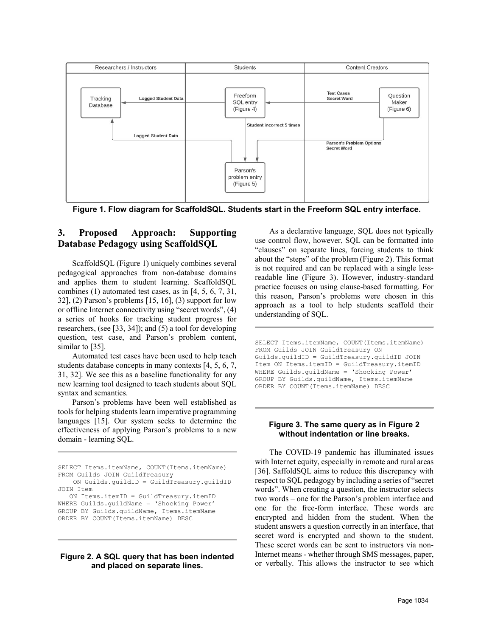

Figure 1. Flow diagram for ScaffoldSQL. Students start in the Freeform SQL entry interface.

## 3. Proposed Approach: Supporting Database Pedagogy using ScaffoldSQL

ScaffoldSQL (Figure 1) uniquely combines several pedagogical approaches from non-database domains and applies them to student learning. ScaffoldSQL combines (1) automated test cases, as in [4, 5, 6, 7, 31, 32], (2) Parson's problems [15, 16], (3) support for low or offline Internet connectivity using "secret words", (4) a series of hooks for tracking student progress for researchers, (see [33, 34]); and (5) a tool for developing question, test case, and Parson's problem content, similar to [35].

Automated test cases have been used to help teach students database concepts in many contexts [4, 5, 6, 7, 31, 32]. We see this as a baseline functionality for any new learning tool designed to teach students about SQL syntax and semantics.

Parson's problems have been well established as tools for helping students learn imperative programming languages [15]. Our system seeks to determine the effectiveness of applying Parson's problems to a new domain - learning SQL.

```
SELECT Items.itemName, COUNT(Items.itemName) 
FROM Guilds JOIN GuildTreasury 
    ON Guilds.guildID = GuildTreasury.guildID 
JOIN Item 
    ON Items.itemID = GuildTreasury.itemID 
WHERE Guilds.guildName = 'Shocking Power' 
GROUP BY Guilds.guildName, Items.itemName 
ORDER BY COUNT(Items.itemName) DESC
```
#### Figure 2. A SQL query that has been indented and placed on separate lines.

As a declarative language, SQL does not typically use control flow, however, SQL can be formatted into "clauses" on separate lines, forcing students to think about the "steps" of the problem (Figure 2). This format is not required and can be replaced with a single lessreadable line (Figure 3). However, industry-standard practice focuses on using clause-based formatting. For this reason, Parson's problems were chosen in this approach as a tool to help students scaffold their understanding of SQL.

SELECT Items.itemName, COUNT(Items.itemName) FROM Guilds JOIN GuildTreasury ON Guilds.guildID = GuildTreasury.guildID JOIN Item ON Items.itemID = GuildTreasury.itemID WHERE Guilds.guildName = 'Shocking Power' GROUP BY Guilds.guildName, Items.itemName ORDER BY COUNT(Items.itemName) DESC

#### Figure 3. The same query as in Figure 2 without indentation or line breaks.

The COVID-19 pandemic has illuminated issues with Internet equity, especially in remote and rural areas [36]. SaffoldSQL aims to reduce this discrepancy with respect to SQL pedagogy by including a series of "secret words". When creating a question, the instructor selects two words – one for the Parson's problem interface and one for the free-form interface. These words are encrypted and hidden from the student. When the student answers a question correctly in an interface, that secret word is encrypted and shown to the student. These secret words can be sent to instructors via non-Internet means - whether through SMS messages, paper, or verbally. This allows the instructor to see which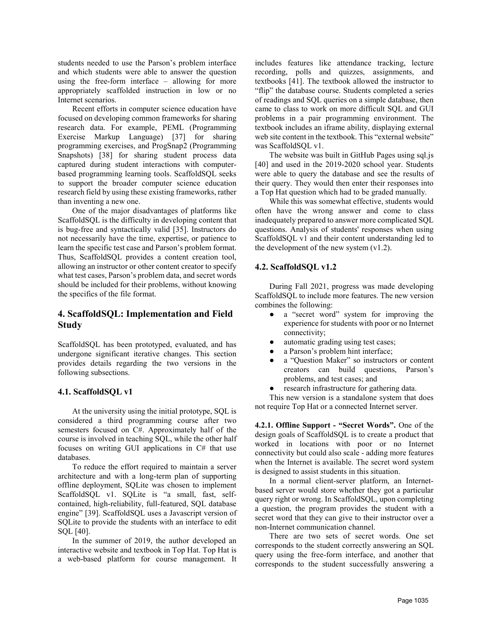students needed to use the Parson's problem interface and which students were able to answer the question using the free-form interface – allowing for more appropriately scaffolded instruction in low or no Internet scenarios.

Recent efforts in computer science education have focused on developing common frameworks for sharing research data. For example, PEML (Programming Exercise Markup Language) [37] for sharing programming exercises, and ProgSnap2 (Programming Snapshots) [38] for sharing student process data captured during student interactions with computerbased programming learning tools. ScaffoldSQL seeks to support the broader computer science education research field by using these existing frameworks, rather than inventing a new one.

One of the major disadvantages of platforms like ScaffoldSQL is the difficulty in developing content that is bug-free and syntactically valid [35]. Instructors do not necessarily have the time, expertise, or patience to learn the specific test case and Parson's problem format. Thus, ScaffoldSQL provides a content creation tool, allowing an instructor or other content creator to specify what test cases, Parson's problem data, and secret words should be included for their problems, without knowing the specifics of the file format.

## 4. ScaffoldSQL: Implementation and Field **Study**

ScaffoldSQL has been prototyped, evaluated, and has undergone significant iterative changes. This section provides details regarding the two versions in the following subsections.

#### 4.1. ScaffoldSQL v1

At the university using the initial prototype, SQL is considered a third programming course after two semesters focused on C#. Approximately half of the course is involved in teaching SQL, while the other half focuses on writing GUI applications in C# that use databases.

To reduce the effort required to maintain a server architecture and with a long-term plan of supporting offline deployment, SQLite was chosen to implement ScaffoldSQL v1. SQLite is "a small, fast, selfcontained, high-reliability, full-featured, SQL database engine" [39]. ScaffoldSQL uses a Javascript version of SQLite to provide the students with an interface to edit SQL [40].

In the summer of 2019, the author developed an interactive website and textbook in Top Hat. Top Hat is a web-based platform for course management. It

includes features like attendance tracking, lecture recording, polls and quizzes, assignments, and textbooks [41]. The textbook allowed the instructor to "flip" the database course. Students completed a series of readings and SQL queries on a simple database, then came to class to work on more difficult SQL and GUI problems in a pair programming environment. The textbook includes an iframe ability, displaying external web site content in the textbook. This "external website" was ScaffoldSQL v1.

The website was built in GitHub Pages using sql.js [40] and used in the 2019-2020 school year. Students were able to query the database and see the results of their query. They would then enter their responses into a Top Hat question which had to be graded manually.

While this was somewhat effective, students would often have the wrong answer and come to class inadequately prepared to answer more complicated SQL questions. Analysis of students' responses when using ScaffoldSQL v1 and their content understanding led to the development of the new system  $(v1.2)$ .

#### 4.2. ScaffoldSQL v1.2

During Fall 2021, progress was made developing ScaffoldSQL to include more features. The new version combines the following:

- a "secret word" system for improving the experience for students with poor or no Internet connectivity;
- automatic grading using test cases;
- a Parson's problem hint interface;
- a "Question Maker" so instructors or content creators can build questions, Parson's problems, and test cases; and
- research infrastructure for gathering data.

This new version is a standalone system that does not require Top Hat or a connected Internet server.

4.2.1. Offline Support - "Secret Words". One of the design goals of ScaffoldSQL is to create a product that worked in locations with poor or no Internet connectivity but could also scale - adding more features when the Internet is available. The secret word system is designed to assist students in this situation.

In a normal client-server platform, an Internetbased server would store whether they got a particular query right or wrong. In ScaffoldSQL, upon completing a question, the program provides the student with a secret word that they can give to their instructor over a non-Internet communication channel.

There are two sets of secret words. One set corresponds to the student correctly answering an SQL query using the free-form interface, and another that corresponds to the student successfully answering a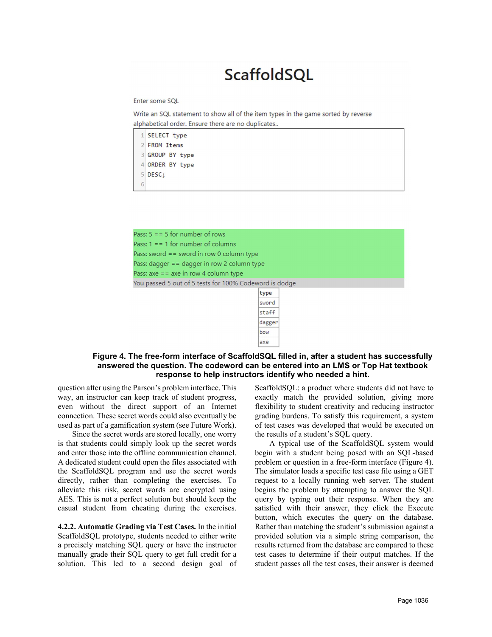# **ScaffoldSQL**

Enter some SOL

Write an SQL statement to show all of the item types in the game sorted by reverse alphabetical order. Ensure there are no duplicates..

|   | 1 SELECT type   |  |
|---|-----------------|--|
|   | 2 FROM Items    |  |
|   | 3 GROUP BY type |  |
|   | 4 ORDER BY type |  |
|   | $5$ DESC;       |  |
| 6 |                 |  |

| Pass: $5 = 5$ for number of rows                       |        |  |  |  |  |
|--------------------------------------------------------|--------|--|--|--|--|
| Pass: $1 = 1$ for number of columns                    |        |  |  |  |  |
| Pass: sword $==$ sword in row 0 column type            |        |  |  |  |  |
| Pass: dagger $=$ = dagger in row 2 column type         |        |  |  |  |  |
| Pass: axe $=$ = axe in row 4 column type               |        |  |  |  |  |
| You passed 5 out of 5 tests for 100% Codeword is dodge |        |  |  |  |  |
|                                                        | type   |  |  |  |  |
|                                                        | curand |  |  |  |  |

| cype   |
|--------|
| sword  |
| staff  |
| dagger |
| bow    |
| axe    |

#### Figure 4. The free-form interface of ScaffoldSQL filled in, after a student has successfully answered the question. The codeword can be entered into an LMS or Top Hat textbook response to help instructors identify who needed a hint.

question after using the Parson's problem interface. This way, an instructor can keep track of student progress, even without the direct support of an Internet connection. These secret words could also eventually be used as part of a gamification system (see Future Work).

Since the secret words are stored locally, one worry is that students could simply look up the secret words and enter those into the offline communication channel. A dedicated student could open the files associated with the ScaffoldSQL program and use the secret words directly, rather than completing the exercises. To alleviate this risk, secret words are encrypted using AES. This is not a perfect solution but should keep the casual student from cheating during the exercises.

4.2.2. Automatic Grading via Test Cases. In the initial ScaffoldSQL prototype, students needed to either write a precisely matching SQL query or have the instructor manually grade their SQL query to get full credit for a solution. This led to a second design goal of

ScaffoldSQL: a product where students did not have to exactly match the provided solution, giving more flexibility to student creativity and reducing instructor grading burdens. To satisfy this requirement, a system of test cases was developed that would be executed on the results of a student's SQL query.

A typical use of the ScaffoldSQL system would begin with a student being posed with an SQL-based problem or question in a free-form interface (Figure 4). The simulator loads a specific test case file using a GET request to a locally running web server. The student begins the problem by attempting to answer the SQL query by typing out their response. When they are satisfied with their answer, they click the Execute button, which executes the query on the database. Rather than matching the student's submission against a provided solution via a simple string comparison, the results returned from the database are compared to these test cases to determine if their output matches. If the student passes all the test cases, their answer is deemed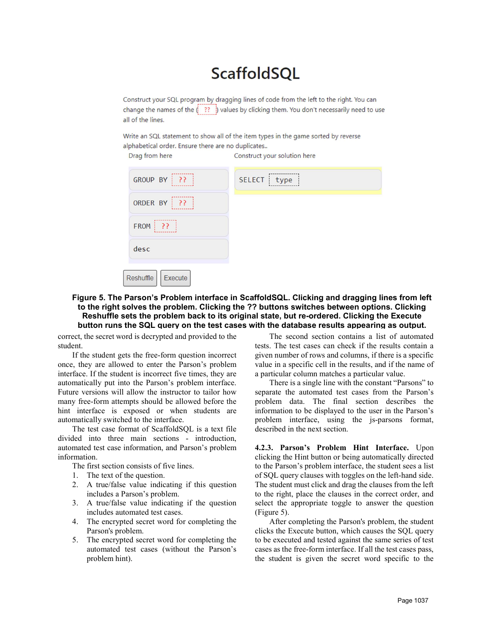# **ScaffoldSQL**

Construct your SQL program by dragging lines of code from the left to the right. You can change the names of the  $\binom{1}{2}$  ??  $\binom{1}{2}$  values by clicking them. You don't necessarily need to use all of the lines.

Write an SQL statement to show all of the item types in the game sorted by reverse alphabetical order. Ensure there are no duplicates..

Construct your solution here

| GROUP BY   ??                   | SELECT : type |
|---------------------------------|---------------|
| ORDER BY   ??                   |               |
| $\left  \cdots \right $<br>FROM |               |
| desc                            |               |
| Reshuffle<br>Execute            |               |

### Figure 5. The Parson's Problem interface in ScaffoldSQL. Clicking and dragging lines from left to the right solves the problem. Clicking the ?? buttons switches between options. Clicking Reshuffle sets the problem back to its original state, but re-ordered. Clicking the Execute button runs the SQL query on the test cases with the database results appearing as output.

correct, the secret word is decrypted and provided to the student.

Drag from here

If the student gets the free-form question incorrect once, they are allowed to enter the Parson's problem interface. If the student is incorrect five times, they are automatically put into the Parson's problem interface. Future versions will allow the instructor to tailor how many free-form attempts should be allowed before the hint interface is exposed or when students are automatically switched to the interface.

The test case format of ScaffoldSQL is a text file divided into three main sections - introduction, automated test case information, and Parson's problem information.

The first section consists of five lines.

- 1. The text of the question.
- 2. A true/false value indicating if this question includes a Parson's problem.
- 3. A true/false value indicating if the question includes automated test cases.
- 4. The encrypted secret word for completing the Parson's problem.
- 5. The encrypted secret word for completing the automated test cases (without the Parson's problem hint).

The second section contains a list of automated tests. The test cases can check if the results contain a given number of rows and columns, if there is a specific value in a specific cell in the results, and if the name of a particular column matches a particular value.

There is a single line with the constant "Parsons" to separate the automated test cases from the Parson's problem data. The final section describes the information to be displayed to the user in the Parson's problem interface, using the js-parsons format, described in the next section.

4.2.3. Parson's Problem Hint Interface. Upon clicking the Hint button or being automatically directed to the Parson's problem interface, the student sees a list of SQL query clauses with toggles on the left-hand side. The student must click and drag the clauses from the left to the right, place the clauses in the correct order, and select the appropriate toggle to answer the question (Figure 5).

After completing the Parson's problem, the student clicks the Execute button, which causes the SQL query to be executed and tested against the same series of test cases as the free-form interface. If all the test cases pass, the student is given the secret word specific to the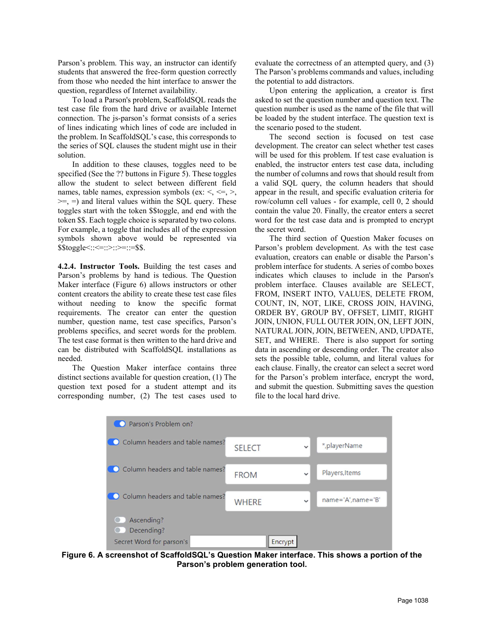Parson's problem. This way, an instructor can identify students that answered the free-form question correctly from those who needed the hint interface to answer the question, regardless of Internet availability.

To load a Parson's problem, ScaffoldSQL reads the test case file from the hard drive or available Internet connection. The js-parson's format consists of a series of lines indicating which lines of code are included in the problem. In ScaffoldSQL's case, this corresponds to the series of SQL clauses the student might use in their solution.

In addition to these clauses, toggles need to be specified (See the ?? buttons in Figure 5). These toggles allow the student to select between different field names, table names, expression symbols (ex:  $\leq, \leq, \geq,$  $\geq$  =  $=$ ) and literal values within the SQL query. These toggles start with the token \$\$toggle, and end with the token \$\$. Each toggle choice is separated by two colons. For example, a toggle that includes all of the expression symbols shown above would be represented via  $$\text{Stoggle}::&=&::&=&:=\$$$ .

4.2.4. Instructor Tools. Building the test cases and Parson's problems by hand is tedious. The Question Maker interface (Figure 6) allows instructors or other content creators the ability to create these test case files without needing to know the specific format requirements. The creator can enter the question number, question name, test case specifics, Parson's problems specifics, and secret words for the problem. The test case format is then written to the hard drive and can be distributed with ScaffoldSQL installations as needed.

The Question Maker interface contains three distinct sections available for question creation, (1) The question text posed for a student attempt and its corresponding number, (2) The test cases used to

evaluate the correctness of an attempted query, and (3) The Parson's problems commands and values, including the potential to add distractors.

Upon entering the application, a creator is first asked to set the question number and question text. The question number is used as the name of the file that will be loaded by the student interface. The question text is the scenario posed to the student.

The second section is focused on test case development. The creator can select whether test cases will be used for this problem. If test case evaluation is enabled, the instructor enters test case data, including the number of columns and rows that should result from a valid SQL query, the column headers that should appear in the result, and specific evaluation criteria for row/column cell values - for example, cell 0, 2 should contain the value 20. Finally, the creator enters a secret word for the test case data and is prompted to encrypt the secret word.

The third section of Question Maker focuses on Parson's problem development. As with the test case evaluation, creators can enable or disable the Parson's problem interface for students. A series of combo boxes indicates which clauses to include in the Parson's problem interface. Clauses available are SELECT, FROM, INSERT INTO, VALUES, DELETE FROM, COUNT, IN, NOT, LIKE, CROSS JOIN, HAVING, ORDER BY, GROUP BY, OFFSET, LIMIT, RIGHT JOIN, UNION, FULL OUTER JOIN, ON, LEFT JOIN, NATURAL JOIN, JOIN, BETWEEN, AND, UPDATE, SET, and WHERE. There is also support for sorting data in ascending or descending order. The creator also sets the possible table, column, and literal values for each clause. Finally, the creator can select a secret word for the Parson's problem interface, encrypt the word, and submit the question. Submitting saves the question file to the local hard drive.



Figure 6. A screenshot of ScaffoldSQL's Question Maker interface. This shows a portion of the Parson's problem generation tool.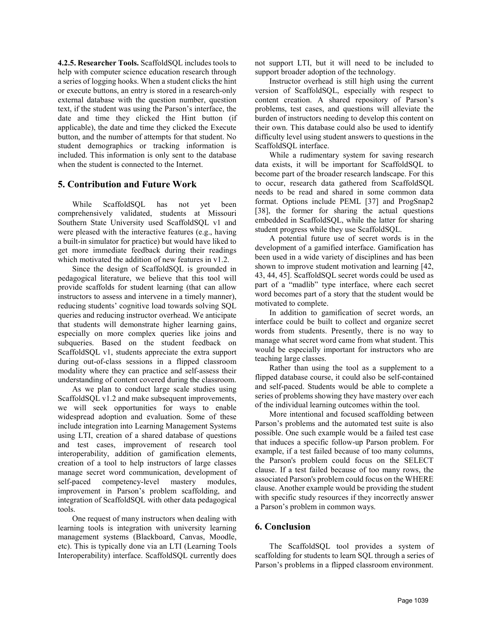4.2.5. Researcher Tools. ScaffoldSQL includes tools to help with computer science education research through a series of logging hooks. When a student clicks the hint or execute buttons, an entry is stored in a research-only external database with the question number, question text, if the student was using the Parson's interface, the date and time they clicked the Hint button (if applicable), the date and time they clicked the Execute button, and the number of attempts for that student. No student demographics or tracking information is included. This information is only sent to the database when the student is connected to the Internet.

### 5. Contribution and Future Work

While ScaffoldSQL has not yet been comprehensively validated, students at Missouri Southern State University used ScaffoldSQL v1 and were pleased with the interactive features (e.g., having a built-in simulator for practice) but would have liked to get more immediate feedback during their readings which motivated the addition of new features in v1.2.

Since the design of ScaffoldSQL is grounded in pedagogical literature, we believe that this tool will provide scaffolds for student learning (that can allow instructors to assess and intervene in a timely manner), reducing students' cognitive load towards solving SQL queries and reducing instructor overhead. We anticipate that students will demonstrate higher learning gains, especially on more complex queries like joins and subqueries. Based on the student feedback on ScaffoldSQL v1, students appreciate the extra support during out-of-class sessions in a flipped classroom modality where they can practice and self-assess their understanding of content covered during the classroom.

As we plan to conduct large scale studies using ScaffoldSQL v1.2 and make subsequent improvements, we will seek opportunities for ways to enable widespread adoption and evaluation. Some of these include integration into Learning Management Systems using LTI, creation of a shared database of questions and test cases, improvement of research tool interoperability, addition of gamification elements, creation of a tool to help instructors of large classes manage secret word communication, development of self-paced competency-level mastery modules, improvement in Parson's problem scaffolding, and integration of ScaffoldSQL with other data pedagogical tools.

One request of many instructors when dealing with learning tools is integration with university learning management systems (Blackboard, Canvas, Moodle, etc). This is typically done via an LTI (Learning Tools Interoperability) interface. ScaffoldSQL currently does

not support LTI, but it will need to be included to support broader adoption of the technology.

Instructor overhead is still high using the current version of ScaffoldSQL, especially with respect to content creation. A shared repository of Parson's problems, test cases, and questions will alleviate the burden of instructors needing to develop this content on their own. This database could also be used to identify difficulty level using student answers to questions in the ScaffoldSQL interface.

While a rudimentary system for saving research data exists, it will be important for ScaffoldSQL to become part of the broader research landscape. For this to occur, research data gathered from ScaffoldSQL needs to be read and shared in some common data format. Options include PEML [37] and ProgSnap2 [38], the former for sharing the actual questions embedded in ScaffoldSQL, while the latter for sharing student progress while they use ScaffoldSQL.

A potential future use of secret words is in the development of a gamified interface. Gamification has been used in a wide variety of disciplines and has been shown to improve student motivation and learning [42, 43, 44, 45]. ScaffoldSQL secret words could be used as part of a "madlib" type interface, where each secret word becomes part of a story that the student would be motivated to complete.

In addition to gamification of secret words, an interface could be built to collect and organize secret words from students. Presently, there is no way to manage what secret word came from what student. This would be especially important for instructors who are teaching large classes.

Rather than using the tool as a supplement to a flipped database course, it could also be self-contained and self-paced. Students would be able to complete a series of problems showing they have mastery over each of the individual learning outcomes within the tool.

More intentional and focused scaffolding between Parson's problems and the automated test suite is also possible. One such example would be a failed test case that induces a specific follow-up Parson problem. For example, if a test failed because of too many columns, the Parson's problem could focus on the SELECT clause. If a test failed because of too many rows, the associated Parson's problem could focus on the WHERE clause. Another example would be providing the student with specific study resources if they incorrectly answer a Parson's problem in common ways.

## 6. Conclusion

The ScaffoldSQL tool provides a system of scaffolding for students to learn SQL through a series of Parson's problems in a flipped classroom environment.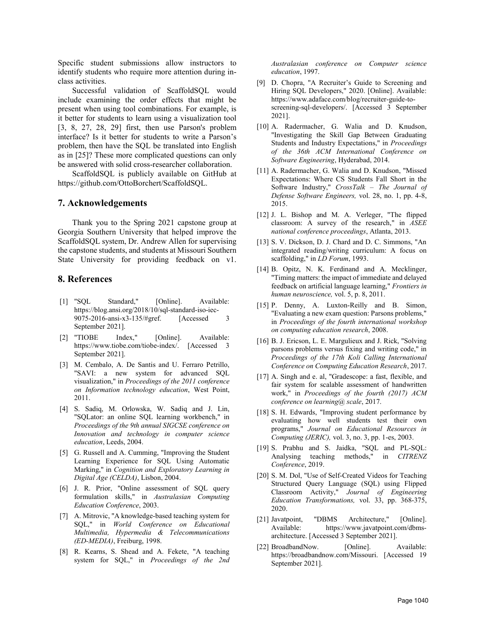Specific student submissions allow instructors to identify students who require more attention during inclass activities.

Successful validation of ScaffoldSQL would include examining the order effects that might be present when using tool combinations. For example, is it better for students to learn using a visualization tool [3, 8, 27, 28, 29] first, then use Parson's problem interface? Is it better for students to write a Parson's problem, then have the SQL be translated into English as in [25]? These more complicated questions can only be answered with solid cross-researcher collaboration.

ScaffoldSQL is publicly available on GitHub at https://github.com/OttoBorchert/ScaffoldSQL.

#### 7. Acknowledgements

Thank you to the Spring 2021 capstone group at Georgia Southern University that helped improve the ScaffoldSQL system, Dr. Andrew Allen for supervising the capstone students, and students at Missouri Southern State University for providing feedback on v1.

#### 8. References

- [1] "SQL Standard," [Online]. Available: https://blog.ansi.org/2018/10/sql-standard-iso-iec-9075-2016-ansi-x3-135/#gref. [Accessed 3 September 2021].
- [2] "TIOBE Index," [Online]. Available: https://www.tiobe.com/tiobe-index/. [Accessed 3 September 2021].
- [3] M. Cembalo, A. De Santis and U. Ferraro Petrillo, "SAVI: a new system for advanced SQL visualization," in Proceedings of the 2011 conference on Information technology education, West Point, 2011.
- [4] S. Sadiq, M. Orlowska, W. Sadiq and J. Lin, "SQLator: an online SQL learning workbench," in Proceedings of the 9th annual SIGCSE conference on Innovation and technology in computer science education, Leeds, 2004.
- [5] G. Russell and A. Cumming, "Improving the Student Learning Experience for SQL Using Automatic Marking," in Cognition and Exploratory Learning in Digital Age (CELDA), Lisbon, 2004.
- [6] J. R. Prior, "Online assessment of SQL query formulation skills," in Australasian Computing Education Conference, 2003.
- [7] A. Mitrovic, "A knowledge-based teaching system for SQL," in World Conference on Educational Multimedia, Hypermedia & Telecommunications (ED-MEDIA), Freiburg, 1998.
- [8] R. Kearns, S. Shead and A. Fekete, "A teaching system for SQL," in Proceedings of the 2nd

Australasian conference on Computer science education, 1997.

- [9] D. Chopra, "A Recruiter's Guide to Screening and Hiring SQL Developers," 2020. [Online]. Available: https://www.adaface.com/blog/recruiter-guide-toscreening-sql-developers/. [Accessed 3 September 2021].
- [10] A. Radermacher, G. Walia and D. Knudson, "Investigating the Skill Gap Between Graduating Students and Industry Expectations," in Proceedings of the 36th ACM International Conference on Software Engineering, Hyderabad, 2014.
- [11] A. Radermacher, G. Walia and D. Knudson, "Missed Expectations: Where CS Students Fall Short in the Software Industry," CrossTalk – The Journal of Defense Software Engineers, vol. 28, no. 1, pp. 4-8, 2015.
- [12] J. L. Bishop and M. A. Verleger, "The flipped classroom: A survey of the research," in ASEE national conference proceedings, Atlanta, 2013.
- [13] S. V. Dickson, D. J. Chard and D. C. Simmons, "An integrated reading/writing curriculum: A focus on scaffolding," in LD Forum, 1993.
- [14] B. Opitz, N. K. Ferdinand and A. Mecklinger, "Timing matters: the impact of immediate and delayed feedback on artificial language learning," Frontiers in human neuroscience, vol. 5, p. 8, 2011.
- [15] P. Denny, A. Luxton-Reilly and B. Simon, "Evaluating a new exam question: Parsons problems," in Proceedings of the fourth international workshop on computing education research, 2008.
- [16] B. J. Ericson, L. E. Margulieux and J. Rick, "Solving parsons problems versus fixing and writing code," in Proceedings of the 17th Koli Calling International Conference on Computing Education Research, 2017.
- [17] A. Singh and e. al, "Gradescope: a fast, flexible, and fair system for scalable assessment of handwritten work," in Proceedings of the fourth (2017) ACM conference on learning@ scale, 2017.
- [18] S. H. Edwards, "Improving student performance by evaluating how well students test their own programs," Journal on Educational Resources in Computing (JERIC), vol. 3, no. 3, pp. 1-es, 2003.
- [19] S. Prabhu and S. Jaidka, "SQL and PL-SQL: Analysing teaching methods," in CITRENZ Conference, 2019.
- [20] S. M. Dol, "Use of Self-Created Videos for Teaching Structured Query Language (SQL) using Flipped Classroom Activity," Journal of Engineering Education Transformations, vol. 33, pp. 368-375, 2020.
- [21] Javatpoint, "DBMS Architecture," [Online]. Available: https://www.javatpoint.com/dbmsarchitecture. [Accessed 3 September 2021].
- [22] BroadbandNow. [Online]. Available: https://broadbandnow.com/Missouri. [Accessed 19 September 2021].